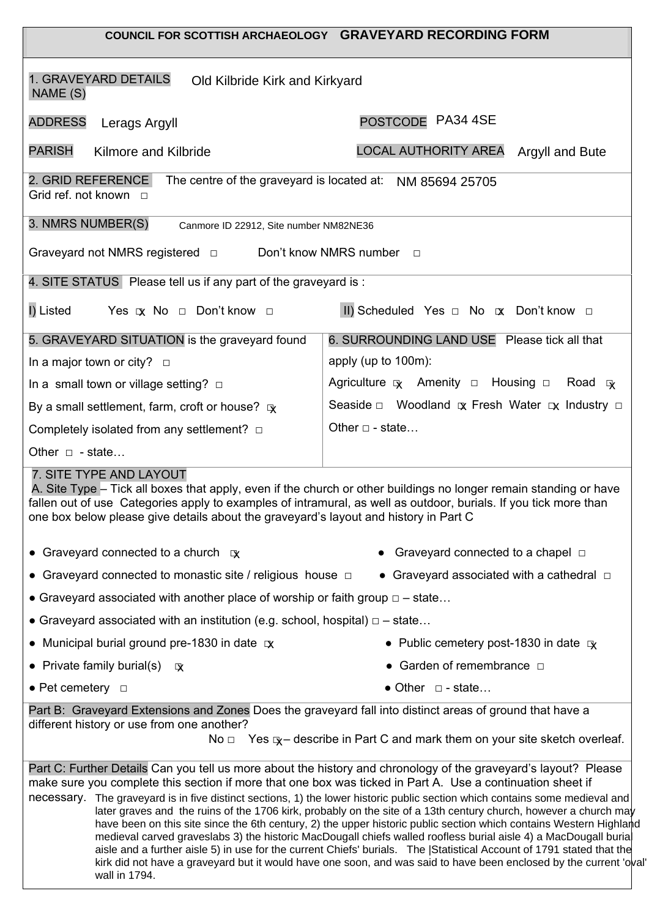|                                                                                                                                                                                                                                     | COUNCIL FOR SCOTTISH ARCHAEOLOGY GRAVEYARD RECORDING FORM                                                                                                                                                                                                                                                                                                                                                                                                                                                                                                                                                                                                                                                                                                                                                                                                  |
|-------------------------------------------------------------------------------------------------------------------------------------------------------------------------------------------------------------------------------------|------------------------------------------------------------------------------------------------------------------------------------------------------------------------------------------------------------------------------------------------------------------------------------------------------------------------------------------------------------------------------------------------------------------------------------------------------------------------------------------------------------------------------------------------------------------------------------------------------------------------------------------------------------------------------------------------------------------------------------------------------------------------------------------------------------------------------------------------------------|
| 1. GRAVEYARD DETAILS<br>Old Kilbride Kirk and Kirkyard<br>NAME (S)                                                                                                                                                                  |                                                                                                                                                                                                                                                                                                                                                                                                                                                                                                                                                                                                                                                                                                                                                                                                                                                            |
| <b>ADDRESS</b><br>Lerags Argyll                                                                                                                                                                                                     | POSTCODE PA34 4SE                                                                                                                                                                                                                                                                                                                                                                                                                                                                                                                                                                                                                                                                                                                                                                                                                                          |
| <b>PARISH</b><br>Kilmore and Kilbride                                                                                                                                                                                               | LOCAL AUTHORITY AREA Argyll and Bute                                                                                                                                                                                                                                                                                                                                                                                                                                                                                                                                                                                                                                                                                                                                                                                                                       |
| 2. GRID REFERENCE<br>Grid ref. not known $\Box$                                                                                                                                                                                     | The centre of the graveyard is located at: NM 85694 25705                                                                                                                                                                                                                                                                                                                                                                                                                                                                                                                                                                                                                                                                                                                                                                                                  |
| 3. NMRS NUMBER(S)<br>Canmore ID 22912, Site number NM82NE36                                                                                                                                                                         |                                                                                                                                                                                                                                                                                                                                                                                                                                                                                                                                                                                                                                                                                                                                                                                                                                                            |
| Graveyard not NMRS registered $\Box$                                                                                                                                                                                                | Don't know NMRS number<br>$\Box$                                                                                                                                                                                                                                                                                                                                                                                                                                                                                                                                                                                                                                                                                                                                                                                                                           |
| 4. SITE STATUS Please tell us if any part of the graveyard is:                                                                                                                                                                      |                                                                                                                                                                                                                                                                                                                                                                                                                                                                                                                                                                                                                                                                                                                                                                                                                                                            |
| I) Listed<br>Yes $x \to 0$ Don't know $\Box$                                                                                                                                                                                        | II) Scheduled Yes $\Box$ No $\alpha$ Don't know $\Box$                                                                                                                                                                                                                                                                                                                                                                                                                                                                                                                                                                                                                                                                                                                                                                                                     |
| 5. GRAVEYARD SITUATION is the graveyard found                                                                                                                                                                                       | 6. SURROUNDING LAND USE Please tick all that                                                                                                                                                                                                                                                                                                                                                                                                                                                                                                                                                                                                                                                                                                                                                                                                               |
| In a major town or city? $\Box$                                                                                                                                                                                                     | apply (up to 100m):                                                                                                                                                                                                                                                                                                                                                                                                                                                                                                                                                                                                                                                                                                                                                                                                                                        |
| In a small town or village setting? $\square$                                                                                                                                                                                       | Agriculture $\overline{x}$ Amenity $\Box$ Housing $\Box$ Road $\overline{x}$                                                                                                                                                                                                                                                                                                                                                                                                                                                                                                                                                                                                                                                                                                                                                                               |
| By a small settlement, farm, croft or house? $\mathbb{R}$                                                                                                                                                                           | Seaside $\Box$ Woodland $\alpha$ Fresh Water $\alpha$ Industry $\Box$                                                                                                                                                                                                                                                                                                                                                                                                                                                                                                                                                                                                                                                                                                                                                                                      |
| Completely isolated from any settlement? $\Box$                                                                                                                                                                                     | Other $\Box$ - state                                                                                                                                                                                                                                                                                                                                                                                                                                                                                                                                                                                                                                                                                                                                                                                                                                       |
| Other $\Box$ - state                                                                                                                                                                                                                |                                                                                                                                                                                                                                                                                                                                                                                                                                                                                                                                                                                                                                                                                                                                                                                                                                                            |
| 7. SITE TYPE AND LAYOUT<br>fallen out of use Categories apply to examples of intramural, as well as outdoor, burials. If you tick more than<br>one box below please give details about the graveyard's layout and history in Part C | A. Site Type - Tick all boxes that apply, even if the church or other buildings no longer remain standing or have                                                                                                                                                                                                                                                                                                                                                                                                                                                                                                                                                                                                                                                                                                                                          |
| • Graveyard connected to a church $\alpha$                                                                                                                                                                                          | Graveyard connected to a chapel $\Box$                                                                                                                                                                                                                                                                                                                                                                                                                                                                                                                                                                                                                                                                                                                                                                                                                     |
| • Graveyard connected to monastic site / religious house $\Box$                                                                                                                                                                     | • Graveyard associated with a cathedral $\Box$                                                                                                                                                                                                                                                                                                                                                                                                                                                                                                                                                                                                                                                                                                                                                                                                             |
| • Graveyard associated with another place of worship or faith group $\Box$ - state                                                                                                                                                  |                                                                                                                                                                                                                                                                                                                                                                                                                                                                                                                                                                                                                                                                                                                                                                                                                                                            |
| • Graveyard associated with an institution (e.g. school, hospital) $\Box$ - state                                                                                                                                                   |                                                                                                                                                                                                                                                                                                                                                                                                                                                                                                                                                                                                                                                                                                                                                                                                                                                            |
| • Municipal burial ground pre-1830 in date $\infty$                                                                                                                                                                                 | • Public cemetery post-1830 in date $\alpha$                                                                                                                                                                                                                                                                                                                                                                                                                                                                                                                                                                                                                                                                                                                                                                                                               |
| • Private family burial(s) $\alpha$                                                                                                                                                                                                 | • Garden of remembrance $\Box$                                                                                                                                                                                                                                                                                                                                                                                                                                                                                                                                                                                                                                                                                                                                                                                                                             |
| • Pet cemetery $\Box$                                                                                                                                                                                                               | $\bullet$ Other $\Box$ - state                                                                                                                                                                                                                                                                                                                                                                                                                                                                                                                                                                                                                                                                                                                                                                                                                             |
| Part B: Graveyard Extensions and Zones Does the graveyard fall into distinct areas of ground that have a<br>different history or use from one another?                                                                              | No $\Box$ Yes $\mathbb{R}$ - describe in Part C and mark them on your site sketch overleaf.                                                                                                                                                                                                                                                                                                                                                                                                                                                                                                                                                                                                                                                                                                                                                                |
| make sure you complete this section if more that one box was ticked in Part A. Use a continuation sheet if<br>wall in 1794.                                                                                                         | Part C: Further Details Can you tell us more about the history and chronology of the graveyard's layout? Please<br>necessary. The graveyard is in five distinct sections, 1) the lower historic public section which contains some medieval and<br>later graves and the ruins of the 1706 kirk, probably on the site of a 13th century church, however a church may<br>have been on this site since the 6th century, 2) the upper historic public section which contains Western Highland<br>medieval carved graveslabs 3) the historic MacDougall chiefs walled roofless burial aisle 4) a MacDougall buria<br>aisle and a further aisle 5) in use for the current Chiefs' burials. The Statistical Account of 1791 stated that the<br>kirk did not have a graveyard but it would have one soon, and was said to have been enclosed by the current 'oval' |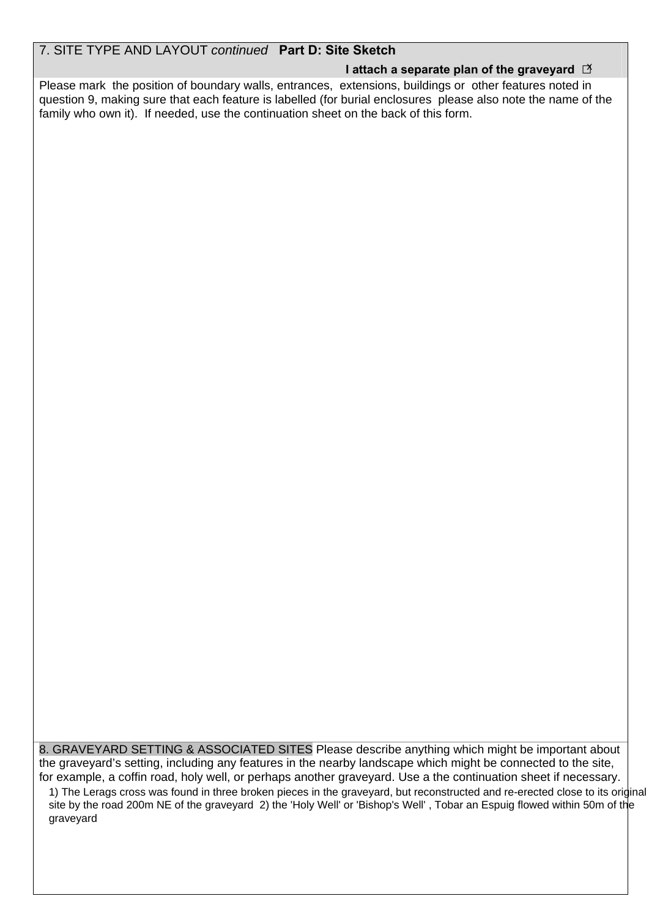#### 7. SITE TYPE AND LAYOUT *continued* **Part D: Site Sketch**

### **I attach a separate plan of the graveyard □**  x

Please mark the position of boundary walls, entrances, extensions, buildings or other features noted in question 9, making sure that each feature is labelled (for burial enclosures please also note the name of the family who own it). If needed, use the continuation sheet on the back of this form.

8. GRAVEYARD SETTING & ASSOCIATED SITES Please describe anything which might be important about the graveyard's setting, including any features in the nearby landscape which might be connected to the site, for example, a coffin road, holy well, or perhaps another graveyard. Use a the continuation sheet if necessary.

1) The Lerags cross was found in three broken pieces in the graveyard, but reconstructed and re-erected close to its original site by the road 200m NE of the graveyard 2) the 'Holy Well' or 'Bishop's Well' , Tobar an Espuig flowed within 50m of the graveyard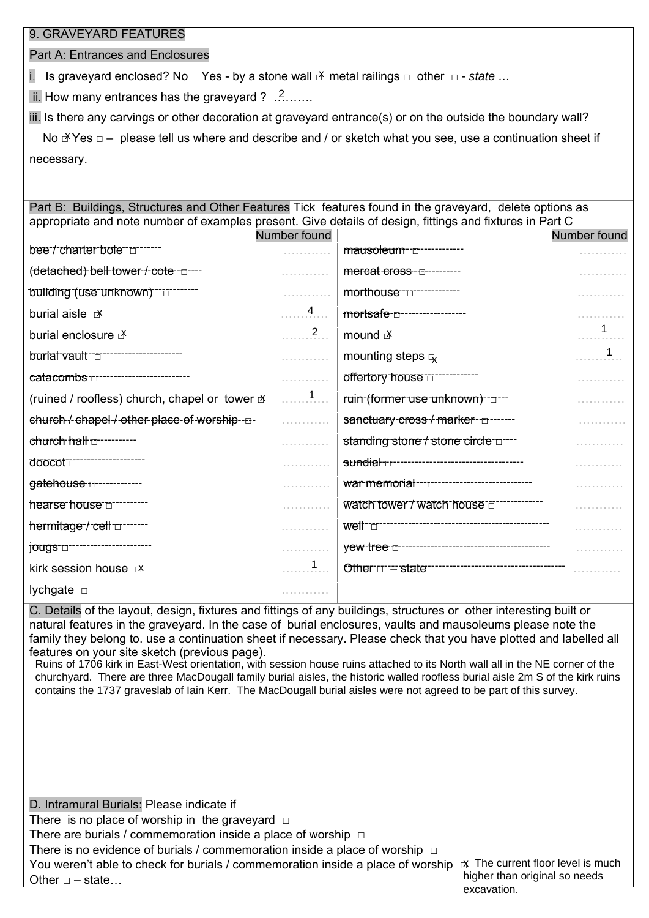#### 9. GRAVEYARD FEATURES

Part A: Entrances and Enclosures

i. Is graveyard enclosed? No Yes - by a stone wall **N** metal railings □ other □ *- state ...* 

ii. How many entrances has the graveyard ?  $\ldots$ .......

iii. Is there any carvings or other decoration at graveyard entrance(s) or on the outside the boundary wall?

No  $\mathbb{X}$  Yes  $\Box$  – please tell us where and describe and / or sketch what you see, use a continuation sheet if necessary.

Part B: Buildings, Structures and Other Features Tick features found in the graveyard, delete options as appropriate and note number of examples present. Give details of design, fittings and fixtures in Part C

|                                                      | Number found   |                                           | Number found |
|------------------------------------------------------|----------------|-------------------------------------------|--------------|
| bee-t-charter-bole-en-                               |                | mausoleum-m------------                   |              |
| (detached) bell tower / cote - p----                 |                | mercat cross-m--------                    |              |
| building (use unknown) To The                        |                | morthouse-d------------                   |              |
| burial aisle x                                       | 4              | mortsafe-n-----------------               |              |
| burial enclosure F                                   | $\overline{2}$ | mound $\mathbb{R}$                        |              |
| burial vault "                                       | .              | mounting steps $\mathbb{R}$               |              |
| catacombs-communications-                            | .              | offertory house directions.               |              |
| (ruined / roofless) church, chapel or tower $\Delta$ | . 1            | ruin-(former use unknown)-----            |              |
| church /-chapel-/-other-place-of-worship--D-         | .              | sanctuary-cross-/-marker----------        |              |
| church half $\tau$ ----------                        |                | standing stone / stone circle u----       |              |
| doocot =================                             |                |                                           |              |
| gatehouse <del>[1]</del> -------------               |                | war memorial-u--------------------------- |              |
| hearse house number                                  |                | watch tower / watch house and             |              |
| hermitage-t-cell www.                                | .              | weit-communication-communication-         |              |
| jougs -------------------------                      | .              |                                           |              |
| kirk session house X                                 |                |                                           |              |
| lychgate $\Box$                                      | .              |                                           |              |

C. Details of the layout, design, fixtures and fittings of any buildings, structures or other interesting built or natural features in the graveyard. In the case of burial enclosures, vaults and mausoleums please note the family they belong to. use a continuation sheet if necessary. Please check that you have plotted and labelled all features on your site sketch (previous page).

Ruins of 1706 kirk in East-West orientation, with session house ruins attached to its North wall all in the NE corner of the churchyard. There are three MacDougall family burial aisles, the historic walled roofless burial aisle 2m S of the kirk ruins contains the 1737 graveslab of Iain Kerr. The MacDougall burial aisles were not agreed to be part of this survey.

D. Intramural Burials: Please indicate if There is no place of worship in the graveyard  $□$ There are burials / commemoration inside a place of worship  $\Box$ There is no evidence of burials / commemoration inside a place of worship  $\Box$ You weren't able to check for burials / commemoration inside a place of worship  $\mathbb R$  The current floor level is much Other  $\Box$  – state... higher than original so needs excavation.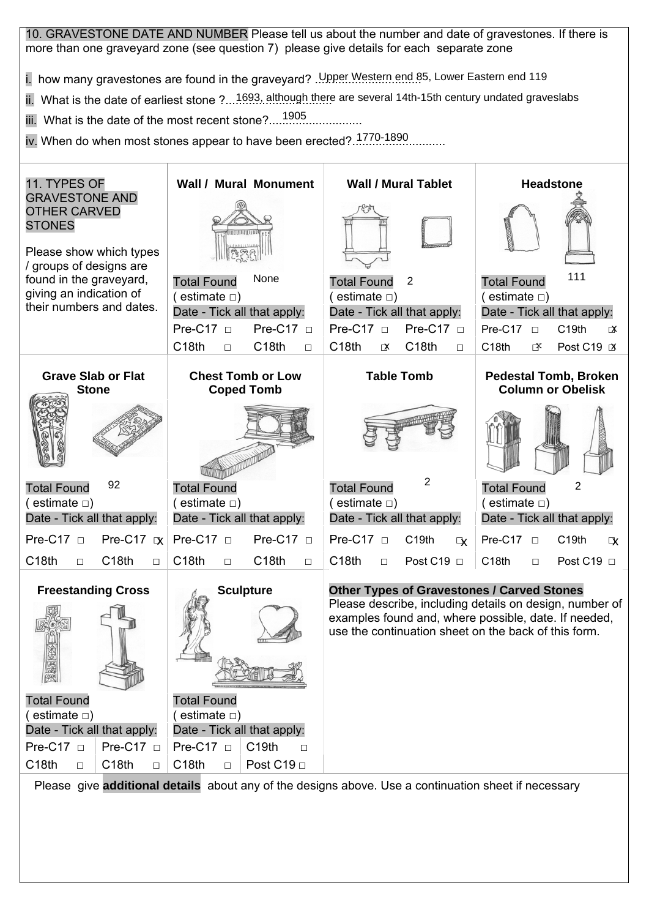10. GRAVESTONE DATE AND NUMBER Please tell us about the number and date of gravestones. If there is more than one graveyard zone (see question 7) please give details for each separate zone

i. how many gravestones are found in the graveyard? .Upper Western end 85, Lower Eastern end 119

i. how many gravestones are found in the graveyard? .<u>Upper Western end 8</u>5, Lower Eastern end 119<br>ii. What is the date of earliest stone ?...1693, although there are several 14th-15th century undated graveslabs

iii. What is the date of the most recent stone?.................................

iii. What is the date of the most recent stone?.....<sup>1905</sup>..................<br>iv. When do when most stones appear to have been erected?..<sup>1770-1890</sup>............

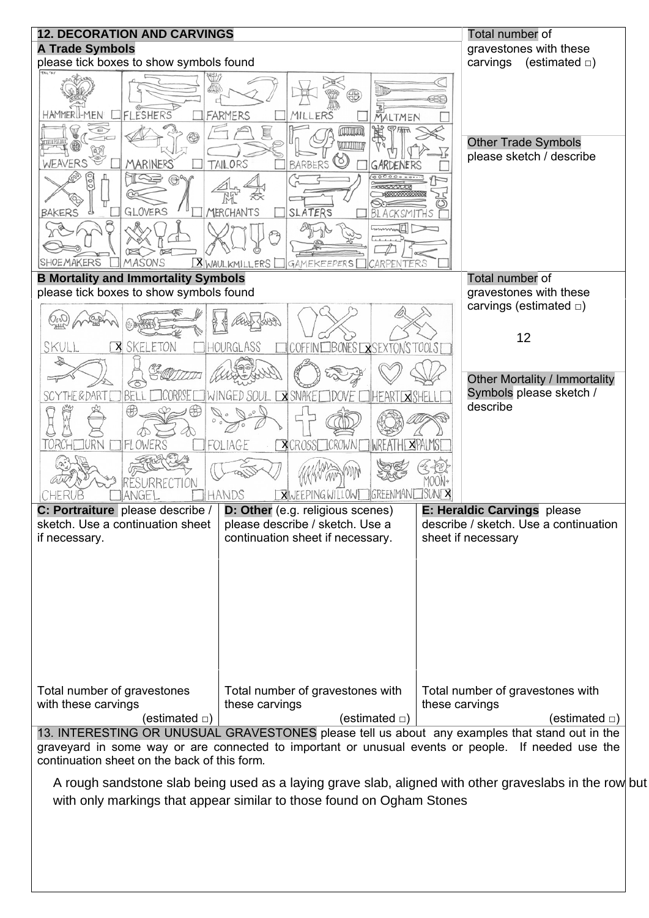

A rough sandstone slab being used as a laying grave slab, aligned with other graveslabs in the row but with only markings that appear similar to those found on Ogham Stones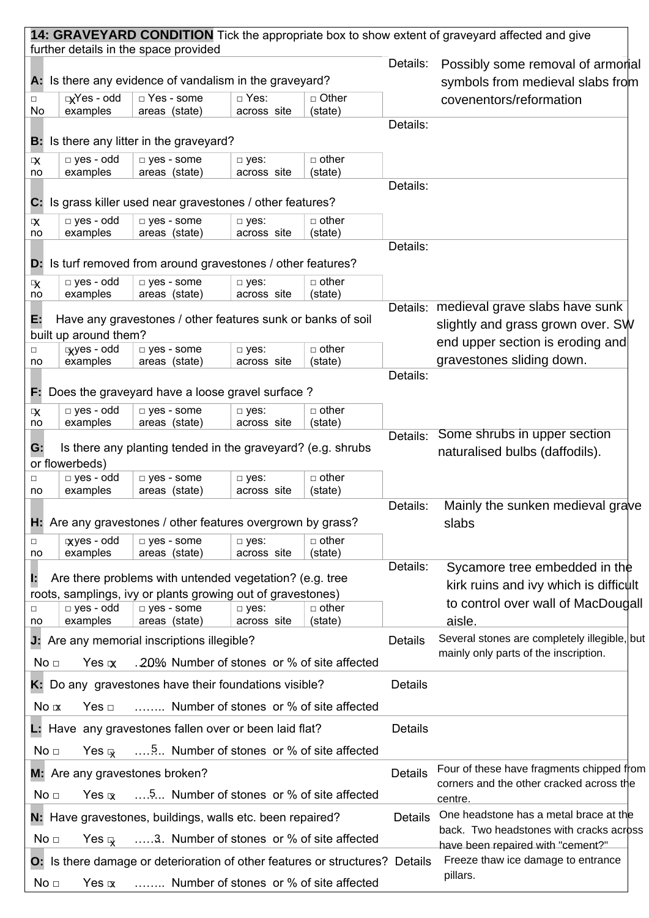| further details in the space provided<br>Details:<br>Possibly some removal of armorial<br>A: Is there any evidence of vandalism in the graveyard?<br>symbols from medieval slabs from<br>□ Other<br>$\Box$ Yes - odd<br>□ Yes - some<br>□ Yes:<br>covenentors/reformation<br>$\Box$<br>examples<br>(state)<br>No<br>areas (state)<br>across site<br>Details:<br><b>B:</b> Is there any litter in the graveyard?<br>$\Box$ yes - odd<br>$\Box$ other<br>$\Box$ yes - some<br>$\neg$ yes:<br>$\overline{\mathbf{x}}$<br>examples<br>areas (state)<br>across site<br>(state)<br>no<br>Details:<br>Is grass killer used near gravestones / other features?<br>С.<br>$\Box$ yes - odd<br>$\Box$ other<br>$\Box$ yes - some<br>□ yes:<br><b>X</b><br>across site<br>examples<br>areas (state)<br>(state)<br>no<br>Details:<br><b>D:</b> Is turf removed from around gravestones / other features?<br>$\Box$ other<br>$\Box$ yes - odd<br>$\Box$ yes - some<br>$\neg$ yes:<br>$\mathbf{\mathbf{R}}$<br>examples<br>areas (state)<br>across site<br>(state)<br>no<br>Details: medieval grave slabs have sunk<br>Е.<br>Have any gravestones / other features sunk or banks of soil |
|---------------------------------------------------------------------------------------------------------------------------------------------------------------------------------------------------------------------------------------------------------------------------------------------------------------------------------------------------------------------------------------------------------------------------------------------------------------------------------------------------------------------------------------------------------------------------------------------------------------------------------------------------------------------------------------------------------------------------------------------------------------------------------------------------------------------------------------------------------------------------------------------------------------------------------------------------------------------------------------------------------------------------------------------------------------------------------------------------------------------------------------------------------------------------|
|                                                                                                                                                                                                                                                                                                                                                                                                                                                                                                                                                                                                                                                                                                                                                                                                                                                                                                                                                                                                                                                                                                                                                                           |
|                                                                                                                                                                                                                                                                                                                                                                                                                                                                                                                                                                                                                                                                                                                                                                                                                                                                                                                                                                                                                                                                                                                                                                           |
|                                                                                                                                                                                                                                                                                                                                                                                                                                                                                                                                                                                                                                                                                                                                                                                                                                                                                                                                                                                                                                                                                                                                                                           |
|                                                                                                                                                                                                                                                                                                                                                                                                                                                                                                                                                                                                                                                                                                                                                                                                                                                                                                                                                                                                                                                                                                                                                                           |
|                                                                                                                                                                                                                                                                                                                                                                                                                                                                                                                                                                                                                                                                                                                                                                                                                                                                                                                                                                                                                                                                                                                                                                           |
|                                                                                                                                                                                                                                                                                                                                                                                                                                                                                                                                                                                                                                                                                                                                                                                                                                                                                                                                                                                                                                                                                                                                                                           |
|                                                                                                                                                                                                                                                                                                                                                                                                                                                                                                                                                                                                                                                                                                                                                                                                                                                                                                                                                                                                                                                                                                                                                                           |
|                                                                                                                                                                                                                                                                                                                                                                                                                                                                                                                                                                                                                                                                                                                                                                                                                                                                                                                                                                                                                                                                                                                                                                           |
|                                                                                                                                                                                                                                                                                                                                                                                                                                                                                                                                                                                                                                                                                                                                                                                                                                                                                                                                                                                                                                                                                                                                                                           |
|                                                                                                                                                                                                                                                                                                                                                                                                                                                                                                                                                                                                                                                                                                                                                                                                                                                                                                                                                                                                                                                                                                                                                                           |
|                                                                                                                                                                                                                                                                                                                                                                                                                                                                                                                                                                                                                                                                                                                                                                                                                                                                                                                                                                                                                                                                                                                                                                           |
|                                                                                                                                                                                                                                                                                                                                                                                                                                                                                                                                                                                                                                                                                                                                                                                                                                                                                                                                                                                                                                                                                                                                                                           |
|                                                                                                                                                                                                                                                                                                                                                                                                                                                                                                                                                                                                                                                                                                                                                                                                                                                                                                                                                                                                                                                                                                                                                                           |
| slightly and grass grown over. SW                                                                                                                                                                                                                                                                                                                                                                                                                                                                                                                                                                                                                                                                                                                                                                                                                                                                                                                                                                                                                                                                                                                                         |
| built up around them?<br>end upper section is eroding and<br>$\Box$ other<br>gyes - odd<br>$\Box$ yes - some<br>$\neg$ yes:<br>$\Box$                                                                                                                                                                                                                                                                                                                                                                                                                                                                                                                                                                                                                                                                                                                                                                                                                                                                                                                                                                                                                                     |
| gravestones sliding down.<br>examples<br>areas (state)<br>across site<br>(state)<br>no                                                                                                                                                                                                                                                                                                                                                                                                                                                                                                                                                                                                                                                                                                                                                                                                                                                                                                                                                                                                                                                                                    |
| Details:                                                                                                                                                                                                                                                                                                                                                                                                                                                                                                                                                                                                                                                                                                                                                                                                                                                                                                                                                                                                                                                                                                                                                                  |
| Does the graveyard have a loose gravel surface?<br>F.                                                                                                                                                                                                                                                                                                                                                                                                                                                                                                                                                                                                                                                                                                                                                                                                                                                                                                                                                                                                                                                                                                                     |
| $\Box$ yes - odd<br>$\Box$ other<br>$\Box$ yes - some<br>$\Box$ yes:<br>$\mathbf{x}$<br>examples<br>areas (state)<br>across site<br>(state)<br>no                                                                                                                                                                                                                                                                                                                                                                                                                                                                                                                                                                                                                                                                                                                                                                                                                                                                                                                                                                                                                         |
| Some shrubs in upper section<br>Details:                                                                                                                                                                                                                                                                                                                                                                                                                                                                                                                                                                                                                                                                                                                                                                                                                                                                                                                                                                                                                                                                                                                                  |
| Is there any planting tended in the graveyard? (e.g. shrubs<br>G:<br>naturalised bulbs (daffodils).<br>or flowerbeds)                                                                                                                                                                                                                                                                                                                                                                                                                                                                                                                                                                                                                                                                                                                                                                                                                                                                                                                                                                                                                                                     |
| $\Box$ other<br>□ yes - odd<br>g yes - some<br>$\neg$ yes:<br>$\Box$                                                                                                                                                                                                                                                                                                                                                                                                                                                                                                                                                                                                                                                                                                                                                                                                                                                                                                                                                                                                                                                                                                      |
| examples<br>areas (state)<br>across site<br>(state)<br>no<br>Details:<br>Mainly the sunken medieval grave                                                                                                                                                                                                                                                                                                                                                                                                                                                                                                                                                                                                                                                                                                                                                                                                                                                                                                                                                                                                                                                                 |
| H: Are any gravestones / other features overgrown by grass?<br>slabs                                                                                                                                                                                                                                                                                                                                                                                                                                                                                                                                                                                                                                                                                                                                                                                                                                                                                                                                                                                                                                                                                                      |
| $xyes - odd$<br>$\Box$ other<br>$\Box$ yes - some<br>$\Box$ yes:<br>$\Box$                                                                                                                                                                                                                                                                                                                                                                                                                                                                                                                                                                                                                                                                                                                                                                                                                                                                                                                                                                                                                                                                                                |
| examples<br>areas (state)<br>across site<br>(state)<br>no<br>Details:<br>Sycamore tree embedded in the                                                                                                                                                                                                                                                                                                                                                                                                                                                                                                                                                                                                                                                                                                                                                                                                                                                                                                                                                                                                                                                                    |
| Are there problems with untended vegetation? (e.g. tree<br>Е<br>kirk ruins and ivy which is difficult                                                                                                                                                                                                                                                                                                                                                                                                                                                                                                                                                                                                                                                                                                                                                                                                                                                                                                                                                                                                                                                                     |
| roots, samplings, ivy or plants growing out of gravestones)<br>to control over wall of MacDougall<br>$\Box$ yes - odd<br>$\Box$ other<br>$\Box$ yes - some<br>$\Box$ yes:                                                                                                                                                                                                                                                                                                                                                                                                                                                                                                                                                                                                                                                                                                                                                                                                                                                                                                                                                                                                 |
| □<br>examples<br>areas (state)<br>across site<br>(state)<br>aisle.<br>no                                                                                                                                                                                                                                                                                                                                                                                                                                                                                                                                                                                                                                                                                                                                                                                                                                                                                                                                                                                                                                                                                                  |
| Several stones are completely illegible, but<br>J: Are any memorial inscriptions illegible?<br><b>Details</b>                                                                                                                                                                                                                                                                                                                                                                                                                                                                                                                                                                                                                                                                                                                                                                                                                                                                                                                                                                                                                                                             |
| mainly only parts of the inscription.<br>.20% Number of stones or % of site affected<br>No <sub>1</sub><br>Yes $\mathbf x$                                                                                                                                                                                                                                                                                                                                                                                                                                                                                                                                                                                                                                                                                                                                                                                                                                                                                                                                                                                                                                                |
| <b>Details</b><br>K: Do any gravestones have their foundations visible?                                                                                                                                                                                                                                                                                                                                                                                                                                                                                                                                                                                                                                                                                                                                                                                                                                                                                                                                                                                                                                                                                                   |
| Number of stones or % of site affected<br>No x<br>Yes ⊡                                                                                                                                                                                                                                                                                                                                                                                                                                                                                                                                                                                                                                                                                                                                                                                                                                                                                                                                                                                                                                                                                                                   |
| <b>Details</b><br>L: Have any gravestones fallen over or been laid flat?                                                                                                                                                                                                                                                                                                                                                                                                                                                                                                                                                                                                                                                                                                                                                                                                                                                                                                                                                                                                                                                                                                  |
| No <sub>1</sub>                                                                                                                                                                                                                                                                                                                                                                                                                                                                                                                                                                                                                                                                                                                                                                                                                                                                                                                                                                                                                                                                                                                                                           |
| Four of these have fragments chipped from<br><b>Details</b><br>M: Are any gravestones broken?                                                                                                                                                                                                                                                                                                                                                                                                                                                                                                                                                                                                                                                                                                                                                                                                                                                                                                                                                                                                                                                                             |
| corners and the other cracked across the<br>5 Number of stones or % of site affected<br>No <sub>1</sub><br>Yes $\mathbf{\overline{x}}$<br>centre.                                                                                                                                                                                                                                                                                                                                                                                                                                                                                                                                                                                                                                                                                                                                                                                                                                                                                                                                                                                                                         |
| One headstone has a metal brace at the<br>N: Have gravestones, buildings, walls etc. been repaired?<br>Details                                                                                                                                                                                                                                                                                                                                                                                                                                                                                                                                                                                                                                                                                                                                                                                                                                                                                                                                                                                                                                                            |
| back. Two headstones with cracks across<br>No <sub>1</sub><br>3. Number of stones or % of site affected<br>Yes $\mathbb Q$                                                                                                                                                                                                                                                                                                                                                                                                                                                                                                                                                                                                                                                                                                                                                                                                                                                                                                                                                                                                                                                |
| have been repaired with "cement?"<br>Freeze thaw ice damage to entrance<br><b>O:</b> Is there damage or deterioration of other features or structures? Details                                                                                                                                                                                                                                                                                                                                                                                                                                                                                                                                                                                                                                                                                                                                                                                                                                                                                                                                                                                                            |
| pillars.<br>Number of stones or % of site affected<br>No <sub>□</sub><br>Yes $\alpha$                                                                                                                                                                                                                                                                                                                                                                                                                                                                                                                                                                                                                                                                                                                                                                                                                                                                                                                                                                                                                                                                                     |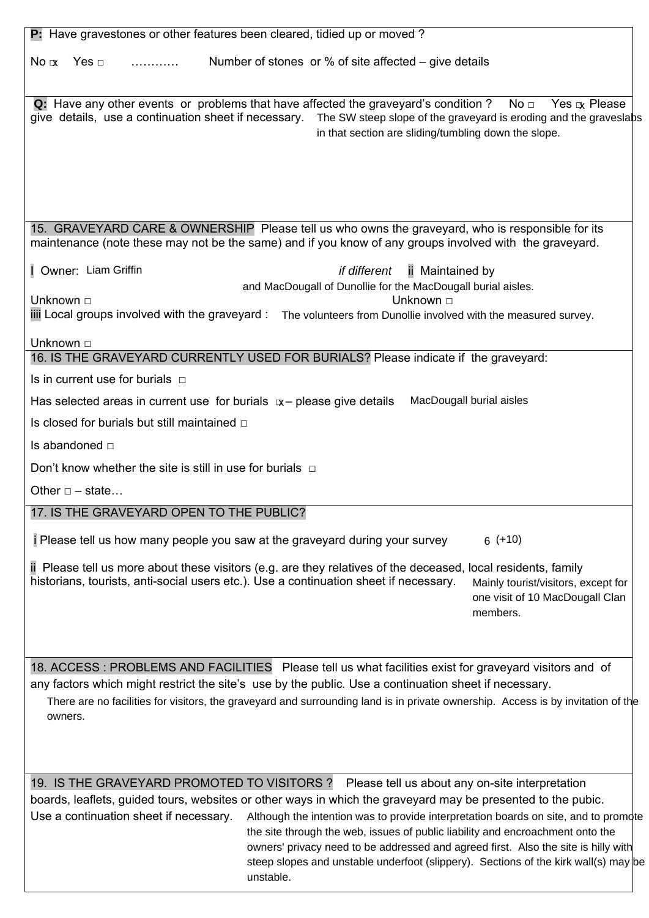| P: Have gravestones or other features been cleared, tidied up or moved?                                                                                                                                                                                                                                                                                                                                               |
|-----------------------------------------------------------------------------------------------------------------------------------------------------------------------------------------------------------------------------------------------------------------------------------------------------------------------------------------------------------------------------------------------------------------------|
|                                                                                                                                                                                                                                                                                                                                                                                                                       |
| Number of stones or % of site affected $-$ give details<br>$No \propto$                                                                                                                                                                                                                                                                                                                                               |
|                                                                                                                                                                                                                                                                                                                                                                                                                       |
| <b>Q:</b> Have any other events or problems that have affected the graveyard's condition ? No $\Box$<br>Yes $x$ Please<br>give details, use a continuation sheet if necessary.<br>The SW steep slope of the graveyard is eroding and the graveslabs<br>in that section are sliding/tumbling down the slope.                                                                                                           |
|                                                                                                                                                                                                                                                                                                                                                                                                                       |
|                                                                                                                                                                                                                                                                                                                                                                                                                       |
|                                                                                                                                                                                                                                                                                                                                                                                                                       |
| 15. GRAVEYARD CARE & OWNERSHIP Please tell us who owns the graveyard, who is responsible for its<br>maintenance (note these may not be the same) and if you know of any groups involved with the graveyard.                                                                                                                                                                                                           |
| Owner: Liam Griffin<br>if different<br>ii Maintained by                                                                                                                                                                                                                                                                                                                                                               |
| and MacDougall of Dunollie for the MacDougall burial aisles.<br>Unknown □<br>Unknown □                                                                                                                                                                                                                                                                                                                                |
| iii Local groups involved with the graveyard : The volunteers from Dunollie involved with the measured survey.                                                                                                                                                                                                                                                                                                        |
|                                                                                                                                                                                                                                                                                                                                                                                                                       |
| Unknown □<br>16. IS THE GRAVEYARD CURRENTLY USED FOR BURIALS? Please indicate if the graveyard:                                                                                                                                                                                                                                                                                                                       |
| Is in current use for burials $\Box$                                                                                                                                                                                                                                                                                                                                                                                  |
| MacDougall burial aisles<br>Has selected areas in current use for burials $x$ – please give details                                                                                                                                                                                                                                                                                                                   |
| Is closed for burials but still maintained $\Box$                                                                                                                                                                                                                                                                                                                                                                     |
| Is abandoned $\Box$                                                                                                                                                                                                                                                                                                                                                                                                   |
| Don't know whether the site is still in use for burials $\Box$                                                                                                                                                                                                                                                                                                                                                        |
| Other $\Box$ - state                                                                                                                                                                                                                                                                                                                                                                                                  |
|                                                                                                                                                                                                                                                                                                                                                                                                                       |
| 17. IS THE GRAVEYARD OPEN TO THE PUBLIC?                                                                                                                                                                                                                                                                                                                                                                              |
| Please tell us how many people you saw at the graveyard during your survey<br>$6 (+10)$                                                                                                                                                                                                                                                                                                                               |
| ii Please tell us more about these visitors (e.g. are they relatives of the deceased, local residents, family<br>historians, tourists, anti-social users etc.). Use a continuation sheet if necessary.<br>Mainly tourist/visitors, except for<br>one visit of 10 MacDougall Clan<br>members.                                                                                                                          |
|                                                                                                                                                                                                                                                                                                                                                                                                                       |
|                                                                                                                                                                                                                                                                                                                                                                                                                       |
| 18. ACCESS: PROBLEMS AND FACILITIES Please tell us what facilities exist for graveyard visitors and of<br>any factors which might restrict the site's use by the public. Use a continuation sheet if necessary.                                                                                                                                                                                                       |
| There are no facilities for visitors, the graveyard and surrounding land is in private ownership. Access is by invitation of the<br>owners.                                                                                                                                                                                                                                                                           |
|                                                                                                                                                                                                                                                                                                                                                                                                                       |
|                                                                                                                                                                                                                                                                                                                                                                                                                       |
| 19. IS THE GRAVEYARD PROMOTED TO VISITORS?<br>Please tell us about any on-site interpretation                                                                                                                                                                                                                                                                                                                         |
| boards, leaflets, guided tours, websites or other ways in which the graveyard may be presented to the pubic.<br>Use a continuation sheet if necessary.<br>Although the intention was to provide interpretation boards on site, and to promote<br>the site through the web, issues of public liability and encroachment onto the<br>owners' privacy need to be addressed and agreed first. Also the site is hilly with |
| steep slopes and unstable underfoot (slippery). Sections of the kirk wall(s) may be<br>unstable.                                                                                                                                                                                                                                                                                                                      |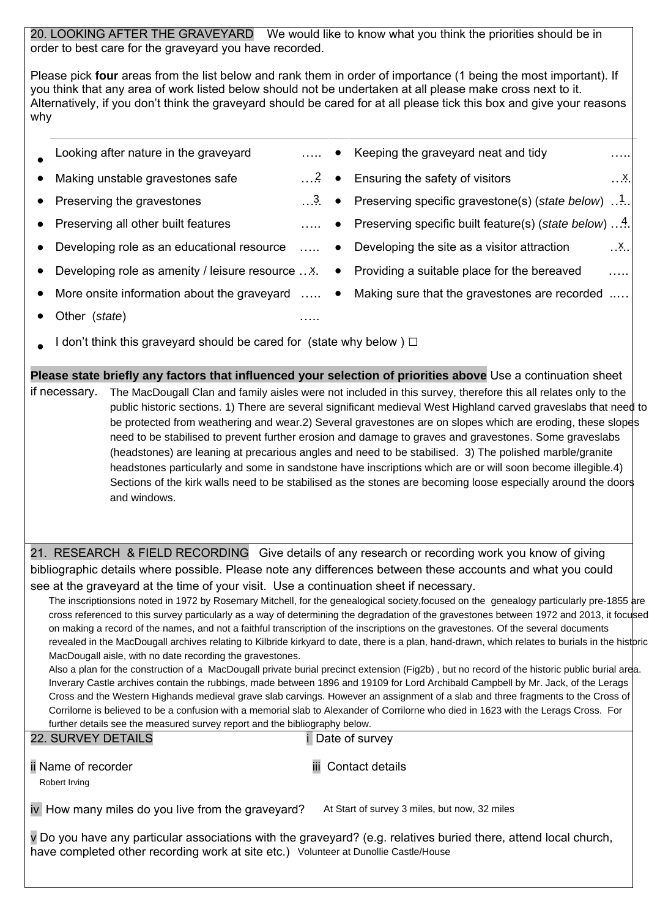20. LOOKING AFTER THE GRAVEYARD We would like to know what you think the priorities should be in order to best care for the graveyard you have recorded.

Please pick **four** areas from the list below and rank them in order of importance (1 being the most important). If you think that any area of work listed below should not be undertaken at all please make cross next to it. Alternatively, if you don't think the graveyard should be cared for at all please tick this box and give your reasons why

- Looking after nature in the graveyard **Example 20.1.1.** Keeping the graveyard neat and tidy **EXAM** • Making unstable gravestones safe ● Preserving the gravestones **and the set of the Contract Auditor** Preserving specific gravestone(s) (*state below*) …<sup>1</sup>... ● Preserving all other built features **and the set of the Serving Secific built feature(s)** (*state below*) …<sup>4</sup>. Developing role as an educational resource  $\ldots$   $\bullet$  Developing the site as a visitor attraction • Developing role as amenity / leisure resource ... X. • Providing a suitable place for the bereaved .... ● More onsite information about the graveyard ….. ● Making sure that the gravestones are recorded ..…  $\overline{1}$  $\ldots$  2 • Ensuring the safety of visitors . . X  $\mathbf{X}$
- Other (*state*)…..
- I don't think this graveyard should be cared for (state why below )  $\Box$

**Please state briefly any factors that influenced your selection of priorities above** Use a continuation sheet if necessary. The MacDougall Clan and family aisles were not included in this survey, therefore this all relates only to the public historic sections. 1) There are several significant medieval West Highland carved graveslabs that need to be protected from weathering and wear.2) Several gravestones are on slopes which are eroding, these slopes need to be stabilised to prevent further erosion and damage to graves and gravestones. Some graveslabs (headstones) are leaning at precarious angles and need to be stabilised. 3) The polished marble/granite headstones particularly and some in sandstone have inscriptions which are or will soon become illegible.4) Sections of the kirk walls need to be stabilised as the stones are becoming loose especially around the doors and windows.

21. RESEARCH & FIELD RECORDING Give details of any research or recording work you know of giving bibliographic details where possible. Please note any differences between these accounts and what you could see at the graveyard at the time of your visit. Use a continuation sheet if necessary.

The inscriptionsions noted in 1972 by Rosemary Mitchell, for the genealogical society, focused on the genealogy particularly pre-1855 are cross referenced to this survey particularly as a way of determining the degradation of the gravestones between 1972 and 2013, it focused on making a record of the names, and not a faithful transcription of the inscriptions on the gravestones. Of the several documents revealed in the MacDougall archives relating to Kilbride kirkyard to date, there is a plan, hand-drawn, which relates to burials in the historic MacDougall aisle, with no date recording the gravestones.

Also a plan for the construction of a MacDougall private burial precinct extension (Fig2b) , but no record of the historic public burial area. Inverary Castle archives contain the rubbings, made between 1896 and 19109 for Lord Archibald Campbell by Mr. Jack, of the Lerags Cross and the Western Highands medieval grave slab carvings. However an assignment of a slab and three fragments to the Cross of Corrilorne is believed to be a confusion with a memorial slab to Alexander of Corrilorne who died in 1623 with the Lerags Cross. For further details see the measured survey report and the bibliography below.

| 22. SURVEY DETAILS                                                                                                                                                                                       | Date of survey                                |
|----------------------------------------------------------------------------------------------------------------------------------------------------------------------------------------------------------|-----------------------------------------------|
| <b>i</b> Name of recorder<br>Robert Irving                                                                                                                                                               | <b>iii</b> Contact details                    |
| iv How many miles do you live from the graveyard?                                                                                                                                                        | At Start of survey 3 miles, but now, 32 miles |
| y Do you have any particular associations with the graveyard? (e.g. relatives buried there, attend local church,<br>have completed other recording work at site etc.) Volunteer at Dunollie Castle/House |                                               |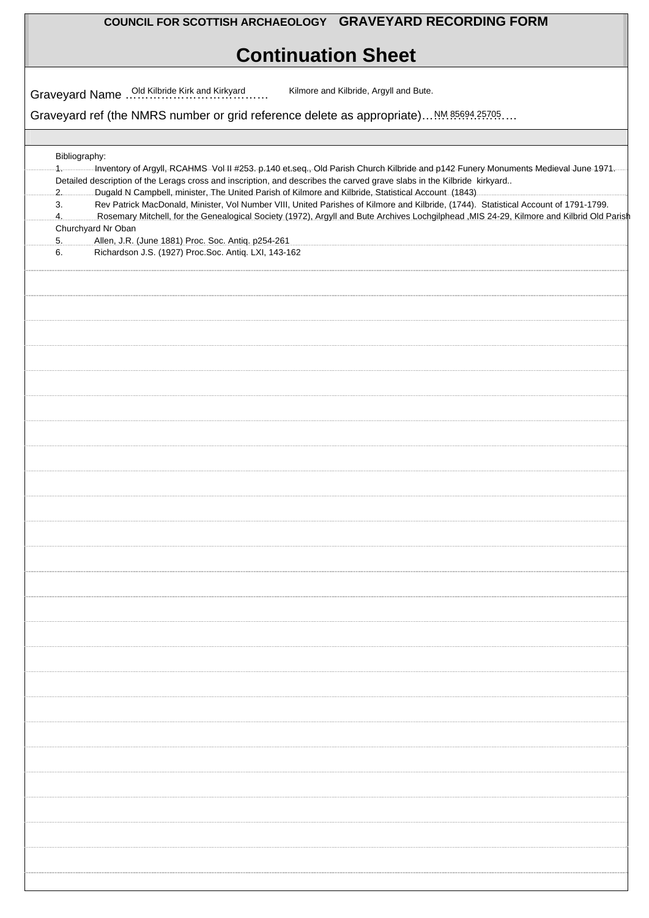## **COUNCIL FOR SCOTTISH ARCHAEOLOGY GRAVEYARD RECORDING FORM**

# **Continuation Sheet**

|             | Graveyard ref (the NMRS number or grid reference delete as appropriate) NM 85694.25705.                                                                                                                                                                                                                                                                            |
|-------------|--------------------------------------------------------------------------------------------------------------------------------------------------------------------------------------------------------------------------------------------------------------------------------------------------------------------------------------------------------------------|
|             |                                                                                                                                                                                                                                                                                                                                                                    |
|             | Bibliography:                                                                                                                                                                                                                                                                                                                                                      |
| $1 -$<br>2. | -Inventory of Argyll, RCAHMS-Vol-II #253. p.140 et.seq., Old Parish Church Kilbride and p142 Funery Monuments Medieval June 1971.<br>Detailed description of the Lerags cross and inscription, and describes the carved grave slabs in the Kilbride kirkyard<br>Dugald N Campbell, minister, The United Parish of Kilmore and Kilbride, Statistical Account (1843) |
| 3.<br>4.    | Rev Patrick MacDonald, Minister, Vol Number VIII, United Parishes of Kilmore and Kilbride, (1744). Statistical Account of 1791-1799.<br>Rosemary Mitchell, for the Genealogical Society (1972), Argyll and Bute Archives Lochgilphead , MIS 24-29, Kilmore and Kilbrid Old Parish                                                                                  |
| 5.          | Churchyard Nr Oban<br>Allen, J.R. (June 1881) Proc. Soc. Antiq. p254-261                                                                                                                                                                                                                                                                                           |
| 6.          | Richardson J.S. (1927) Proc.Soc. Antiq. LXI, 143-162                                                                                                                                                                                                                                                                                                               |
|             |                                                                                                                                                                                                                                                                                                                                                                    |
|             |                                                                                                                                                                                                                                                                                                                                                                    |
|             |                                                                                                                                                                                                                                                                                                                                                                    |
|             |                                                                                                                                                                                                                                                                                                                                                                    |
|             |                                                                                                                                                                                                                                                                                                                                                                    |
|             |                                                                                                                                                                                                                                                                                                                                                                    |
|             |                                                                                                                                                                                                                                                                                                                                                                    |
|             |                                                                                                                                                                                                                                                                                                                                                                    |
|             |                                                                                                                                                                                                                                                                                                                                                                    |
|             |                                                                                                                                                                                                                                                                                                                                                                    |
|             |                                                                                                                                                                                                                                                                                                                                                                    |
|             |                                                                                                                                                                                                                                                                                                                                                                    |
|             |                                                                                                                                                                                                                                                                                                                                                                    |
|             |                                                                                                                                                                                                                                                                                                                                                                    |
|             |                                                                                                                                                                                                                                                                                                                                                                    |
|             |                                                                                                                                                                                                                                                                                                                                                                    |
|             |                                                                                                                                                                                                                                                                                                                                                                    |
|             |                                                                                                                                                                                                                                                                                                                                                                    |
|             |                                                                                                                                                                                                                                                                                                                                                                    |
|             |                                                                                                                                                                                                                                                                                                                                                                    |
|             |                                                                                                                                                                                                                                                                                                                                                                    |
|             |                                                                                                                                                                                                                                                                                                                                                                    |
|             |                                                                                                                                                                                                                                                                                                                                                                    |
|             |                                                                                                                                                                                                                                                                                                                                                                    |
|             |                                                                                                                                                                                                                                                                                                                                                                    |
|             |                                                                                                                                                                                                                                                                                                                                                                    |
|             |                                                                                                                                                                                                                                                                                                                                                                    |
|             |                                                                                                                                                                                                                                                                                                                                                                    |
|             |                                                                                                                                                                                                                                                                                                                                                                    |
|             |                                                                                                                                                                                                                                                                                                                                                                    |
|             |                                                                                                                                                                                                                                                                                                                                                                    |
|             |                                                                                                                                                                                                                                                                                                                                                                    |
|             |                                                                                                                                                                                                                                                                                                                                                                    |
|             |                                                                                                                                                                                                                                                                                                                                                                    |
|             |                                                                                                                                                                                                                                                                                                                                                                    |
|             |                                                                                                                                                                                                                                                                                                                                                                    |
|             |                                                                                                                                                                                                                                                                                                                                                                    |